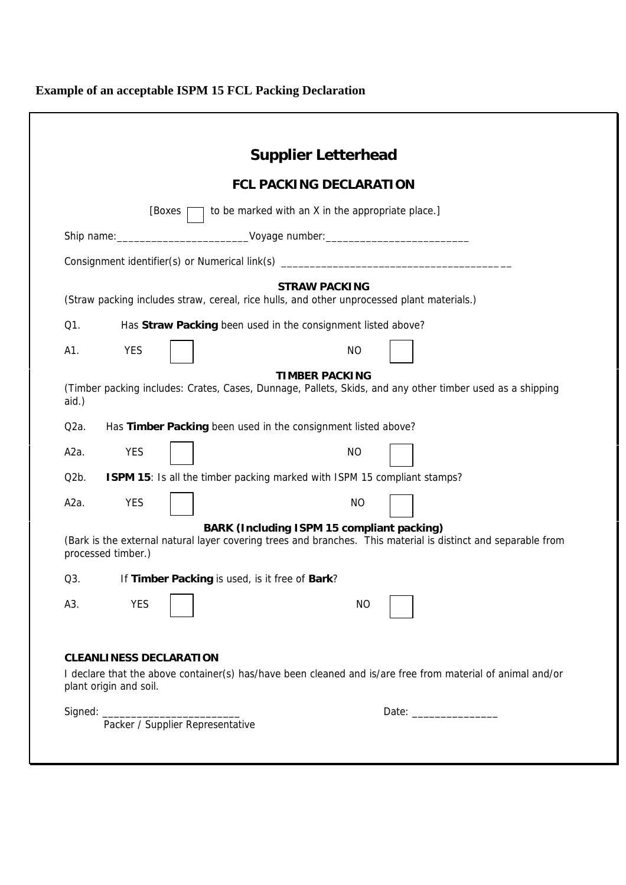## **Example of an acceptable ISPM 15 FCL Packing Declaration**

|                   |                        |                                | <b>Supplier Letterhead</b>                                                                                                                                                                                                     |
|-------------------|------------------------|--------------------------------|--------------------------------------------------------------------------------------------------------------------------------------------------------------------------------------------------------------------------------|
|                   |                        |                                | <b>FCL PACKING DECLARATION</b>                                                                                                                                                                                                 |
|                   |                        | [Boxes                         | to be marked with an X in the appropriate place.]                                                                                                                                                                              |
|                   |                        |                                |                                                                                                                                                                                                                                |
|                   |                        |                                | Consignment identifier(s) or Numerical link(s) _________________________________                                                                                                                                               |
|                   |                        |                                | <b>STRAW PACKING</b><br>(Straw packing includes straw, cereal, rice hulls, and other unprocessed plant materials.)                                                                                                             |
| Q1.               |                        |                                | Has Straw Packing been used in the consignment listed above?                                                                                                                                                                   |
| A1.               | <b>YES</b>             |                                | <b>NO</b>                                                                                                                                                                                                                      |
| aid.)             |                        |                                | <b>TIMBER PACKING</b><br>(Timber packing includes: Crates, Cases, Dunnage, Pallets, Skids, and any other timber used as a shipping                                                                                             |
| Q <sub>2</sub> a. |                        |                                | Has Timber Packing been used in the consignment listed above?                                                                                                                                                                  |
| A2a.              | <b>YES</b>             |                                | <b>NO</b>                                                                                                                                                                                                                      |
| Q2b.              |                        |                                | ISPM 15: Is all the timber packing marked with ISPM 15 compliant stamps?                                                                                                                                                       |
| A2a.              | <b>YES</b>             |                                | <b>NO</b>                                                                                                                                                                                                                      |
|                   | processed timber.)     |                                | <b>BARK (Including ISPM 15 compliant packing)</b><br>(Bark is the external natural layer covering trees and branches. This material is distinct and separable from                                                             |
| Q3.               |                        |                                | If Timber Packing is used, is it free of Bark?                                                                                                                                                                                 |
| A3.               | <b>YES</b>             |                                | NO                                                                                                                                                                                                                             |
|                   | plant origin and soil. | <b>CLEANLINESS DECLARATION</b> | I declare that the above container(s) has/have been cleaned and is/are free from material of animal and/or                                                                                                                     |
|                   |                        |                                | Date: the contract of the contract of the contract of the contract of the contract of the contract of the contract of the contract of the contract of the contract of the contract of the contract of the contract of the cont |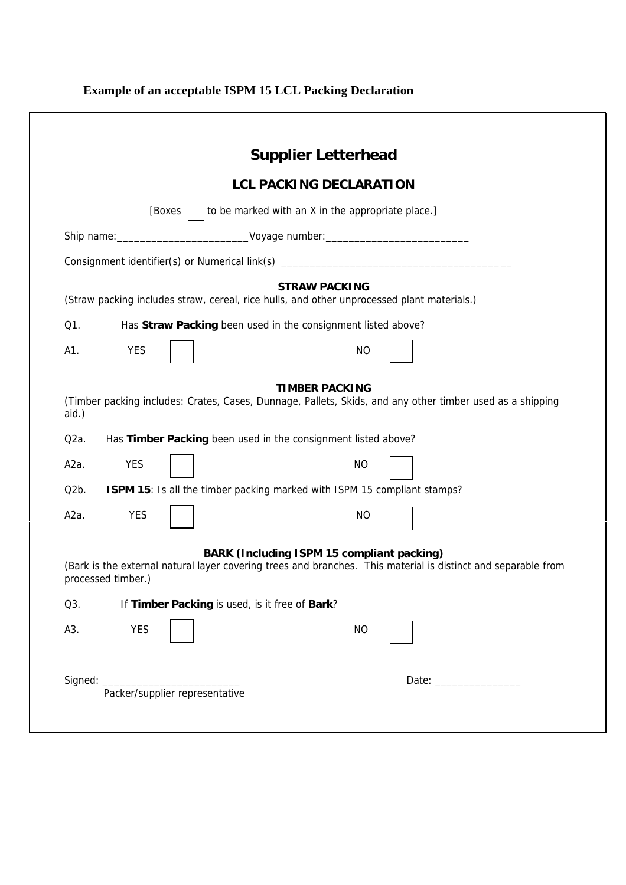## **Example of an acceptable ISPM 15 LCL Packing Declaration**

|                            |                    |                                                | <b>Supplier Letterhead</b>                                                                                                                                                                          |
|----------------------------|--------------------|------------------------------------------------|-----------------------------------------------------------------------------------------------------------------------------------------------------------------------------------------------------|
|                            |                    |                                                | <b>LCL PACKING DECLARATION</b>                                                                                                                                                                      |
|                            |                    | [Boxes                                         | to be marked with an X in the appropriate place.]                                                                                                                                                   |
|                            |                    |                                                | Ship name: ________________________________Voyage number: ______________________                                                                                                                    |
|                            |                    |                                                | Consignment identifier(s) or Numerical link(s) _________________________________                                                                                                                    |
|                            |                    |                                                | <b>STRAW PACKING</b><br>(Straw packing includes straw, cereal, rice hulls, and other unprocessed plant materials.)                                                                                  |
| Q1.                        |                    |                                                | Has Straw Packing been used in the consignment listed above?                                                                                                                                        |
| A1.                        | <b>YES</b>         |                                                | <b>NO</b>                                                                                                                                                                                           |
| aid.)<br>Q <sub>2</sub> a. |                    |                                                | <b>TIMBER PACKING</b><br>(Timber packing includes: Crates, Cases, Dunnage, Pallets, Skids, and any other timber used as a shipping<br>Has Timber Packing been used in the consignment listed above? |
| A2a.                       | <b>YES</b>         |                                                | <b>NO</b>                                                                                                                                                                                           |
| Q <sub>2</sub> b.          |                    |                                                | ISPM 15: Is all the timber packing marked with ISPM 15 compliant stamps?                                                                                                                            |
| A2a.                       | <b>YES</b>         |                                                | <b>NO</b>                                                                                                                                                                                           |
|                            | processed timber.) |                                                | BARK (Including ISPM 15 compliant packing)<br>(Bark is the external natural layer covering trees and branches. This material is distinct and separable from                                         |
| Q3.                        |                    | If Timber Packing is used, is it free of Bark? |                                                                                                                                                                                                     |
| A3.                        | <b>YES</b>         |                                                | <b>NO</b>                                                                                                                                                                                           |
|                            | Signed:            |                                                |                                                                                                                                                                                                     |